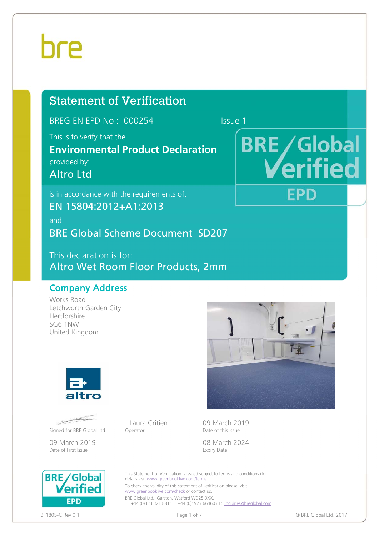# **hre**

# Statement of Verification

BREG EN EPD No.: 000254 Issue 1

This is to verify that the

# **Environmental Product Declaration**

provided by:

Altro Ltd

is in accordance with the requirements of:

EN 15804:2012+A1:2013

and BRE Global Scheme Document SD207

This declaration is for: Altro Wet Room Floor Products, 2mm

### Company Address

Works Road Letchworth Garden City Hertforshire SG6 1NW United Kingdom





**BRE/Global** 

FPD

erified



BRE Global Ltd., Garston, Watford WD25 9XX T: +44 (0)333 321 8811 F: +44 (0)1923 664603 E: Enquiries@breglobal.com

**FPD** 

www.greenbooklive.com/check or contact us.

BF1805-C Rev 0.1 **Page 1 of 7** Page 1 of 7 **Page 1 of 7 Page 1 of 7 Page 1 of 7 Page 1 of 7 Page 1 of 7 Page 1 of 7 Page 1 of 7 Page 1 of 7 Page 1 of 7 Page 1 of 7 Page 1 of 7 Page 1 of 7 Page 1 of**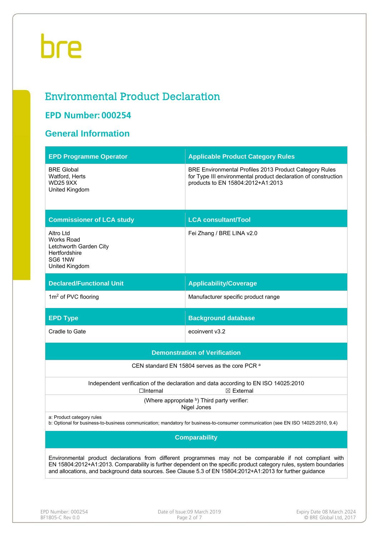# bre

# Environmental Product Declaration

### **EPD Number: 000254**

## **General Information**

| <b>EPD Programme Operator</b>                                                                                                                                                                                                                                                                                                                 | <b>Applicable Product Category Rules</b>                                                                                                                      |  |  |  |  |  |  |
|-----------------------------------------------------------------------------------------------------------------------------------------------------------------------------------------------------------------------------------------------------------------------------------------------------------------------------------------------|---------------------------------------------------------------------------------------------------------------------------------------------------------------|--|--|--|--|--|--|
| <b>BRE Global</b><br>Watford, Herts<br><b>WD25 9XX</b><br>United Kingdom                                                                                                                                                                                                                                                                      | BRE Environmental Profiles 2013 Product Category Rules<br>for Type III environmental product declaration of construction<br>products to EN 15804:2012+A1:2013 |  |  |  |  |  |  |
| <b>Commissioner of LCA study</b>                                                                                                                                                                                                                                                                                                              | <b>LCA consultant/Tool</b>                                                                                                                                    |  |  |  |  |  |  |
| Altro Ltd<br><b>Works Road</b><br>Letchworth Garden City<br>Hertfordshire<br>SG6 1NW<br>United Kingdom                                                                                                                                                                                                                                        | Fei Zhang / BRE LINA v2.0                                                                                                                                     |  |  |  |  |  |  |
| <b>Declared/Functional Unit</b>                                                                                                                                                                                                                                                                                                               | <b>Applicability/Coverage</b>                                                                                                                                 |  |  |  |  |  |  |
| $1m2$ of PVC flooring                                                                                                                                                                                                                                                                                                                         | Manufacturer specific product range                                                                                                                           |  |  |  |  |  |  |
| <b>EPD Type</b>                                                                                                                                                                                                                                                                                                                               | <b>Background database</b>                                                                                                                                    |  |  |  |  |  |  |
| Cradle to Gate                                                                                                                                                                                                                                                                                                                                | ecoinvent v3.2                                                                                                                                                |  |  |  |  |  |  |
|                                                                                                                                                                                                                                                                                                                                               | <b>Demonstration of Verification</b>                                                                                                                          |  |  |  |  |  |  |
|                                                                                                                                                                                                                                                                                                                                               | CEN standard EN 15804 serves as the core PCR a                                                                                                                |  |  |  |  |  |  |
| $\Box$ Internal                                                                                                                                                                                                                                                                                                                               | Independent verification of the declaration and data according to EN ISO 14025:2010<br>$\boxtimes$ External                                                   |  |  |  |  |  |  |
|                                                                                                                                                                                                                                                                                                                                               | (Where appropriate b) Third party verifier:<br>Nigel Jones                                                                                                    |  |  |  |  |  |  |
| a: Product category rules<br>b: Optional for business-to-business communication; mandatory for business-to-consumer communication (see EN ISO 14025:2010, 9.4)                                                                                                                                                                                |                                                                                                                                                               |  |  |  |  |  |  |
| <b>Comparability</b>                                                                                                                                                                                                                                                                                                                          |                                                                                                                                                               |  |  |  |  |  |  |
| Environmental product declarations from different programmes may not be comparable if not compliant with<br>EN 15804:2012+A1:2013. Comparability is further dependent on the specific product category rules, system boundaries<br>and allocations, and background data sources. See Clause 5.3 of EN 15804:2012+A1:2013 for further guidance |                                                                                                                                                               |  |  |  |  |  |  |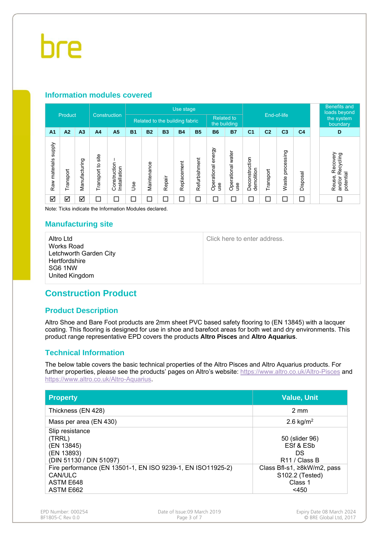#### **Information modules covered**

| Construction               |                      |                |                      | Use stage                    |            |                                |           |             |               |                              |                          |                              |                | <b>Benefits and</b><br>loads beyond |                        |                                                        |
|----------------------------|----------------------|----------------|----------------------|------------------------------|------------|--------------------------------|-----------|-------------|---------------|------------------------------|--------------------------|------------------------------|----------------|-------------------------------------|------------------------|--------------------------------------------------------|
|                            | Product              |                |                      |                              |            | Related to the building fabric |           |             |               | <b>Related to</b>            | the building             | End-of-life                  |                |                                     | the system<br>boundary |                                                        |
| A <sub>1</sub>             | A2                   | A <sub>3</sub> | A <sub>4</sub>       | A <sub>5</sub>               | <b>B1</b>  | <b>B2</b>                      | <b>B3</b> | <b>B4</b>   | <b>B5</b>     | <b>B6</b>                    | <b>B7</b>                | C <sub>1</sub>               | C <sub>2</sub> | C <sub>3</sub>                      | C <sub>4</sub>         | D                                                      |
| supply<br>materials<br>Raw | Transport            | Manufacturing  | site<br>Transport to | Construction<br>Installation | <b>Jse</b> | Maintenance                    | Repair    | Replacement | Refurbishment | energy<br>Operational<br>use | Operational water<br>use | Deconstruction<br>demolition | Transport      | processing<br>Waste                 | Disposal               | Recovery<br>Recycling<br>potential<br>Reuse,<br>and/or |
| ☑                          | $\blacktriangledown$ | ☑              | С                    | $\Box$                       | 口          | $\Box$                         | $\Box$    | $\Box$      | $\Box$        | $\Box$                       | $\Box$                   | ⊏                            | $\Box$         | ⊏                                   | $\Box$                 |                                                        |

Note: Ticks indicate the Information Modules declared.

#### **Manufacturing site**

Altro Ltd Works Road Letchworth Garden City **Hertfordshire** SG6 1NW United Kingdom

Click here to enter address.

### **Construction Product**

#### **Product Description**

Altro Shoe and Bare Foot products are 2mm sheet PVC based safety flooring to (EN 13845) with a lacquer coating. This flooring is designed for use in shoe and barefoot areas for both wet and dry environments. This product range representative EPD covers the products **Altro Pisces** and **Altro Aquarius**.

#### **Technical Information**

The below table covers the basic technical properties of the Altro Pisces and Altro Aquarius products. For further properties, please see the products' pages on Altro's website: https://www.altro.co.uk/Altro-Pisces and https://www.altro.co.uk/Altro-Aquarius.

| <b>Property</b>                                                                                  | <b>Value, Unit</b>                                                   |
|--------------------------------------------------------------------------------------------------|----------------------------------------------------------------------|
| Thickness (EN 428)                                                                               | $2 \text{ mm}$                                                       |
| Mass per area (EN 430)                                                                           | 2.6 kg/ $m^2$                                                        |
| Slip resistance<br>(TRRL)<br>(EN 13845)<br>(EN 13893)<br>(DIN 51130 / DIN 51097)                 | 50 (slider 96)<br>ESf & ESb<br>DS<br>R <sub>11</sub> / Class B       |
| Fire performance (EN 13501-1, EN ISO 9239-1, EN ISO11925-2)<br>CAN/ULC<br>ASTM E648<br>ASTM E662 | Class Bfl-s1, ≥8kW/m2, pass<br>S102.2 (Tested)<br>Class 1<br>$<$ 450 |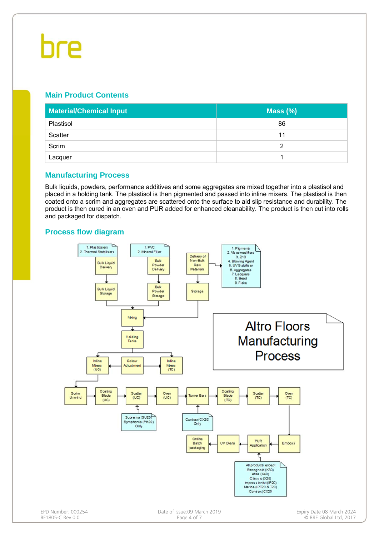# bre

#### **Main Product Contents**

| <b>Material/Chemical Input</b> | Mass $(\%)$ |
|--------------------------------|-------------|
| Plastisol                      | 86          |
| Scatter                        | 11          |
| Scrim                          |             |
| Lacquer                        |             |

#### **Manufacturing Process**

Bulk liquids, powders, performance additives and some aggregates are mixed together into a plastisol and placed in a holding tank. The plastisol is then pigmented and passed into inline mixers. The plastisol is then coated onto a scrim and aggregates are scattered onto the surface to aid slip resistance and durability. The product is then cured in an oven and PUR added for enhanced cleanability. The product is then cut into rolls and packaged for dispatch.

#### **Process flow diagram**

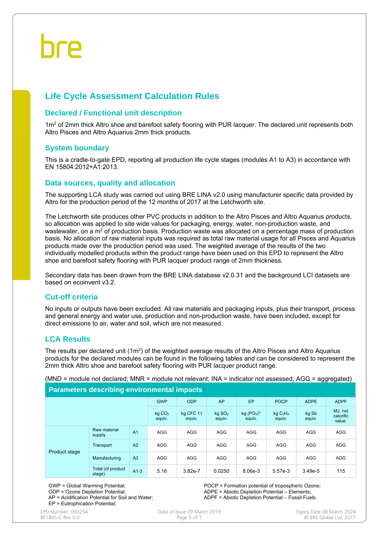### **Life Cycle Assessment Calculation Rules**

#### **Declared / Functional unit description**

1m<sup>2</sup> of 2mm thick Altro shoe and barefoot safety flooring with PUR lacquer. The declared unit represents both Altro Pisces and Altro Aquarius 2mm thick products.

#### **System boundary**

This is a cradle-to-gate EPD, reporting all production life cycle stages (modules A1 to A3) in accordance with EN 15804:2012+A1:2013.

#### **Data sources, quality and allocation**

The supporting LCA study was carried out using BRE LINA v2.0 using manufacturer specific data provided by Altro for the production period of the 12 months of 2017 at the Letchworth site.

The Letchworth site produces other PVC products in addition to the Altro Pisces and Altro Aquarius products, so allocation was applied to site wide values for packaging, energy, water, non-production waste, and wastewater, on a m<sup>2</sup> of production basis. Production waste was allocated on a percentage mass of production basis. No allocation of raw material inputs was required as total raw material usage for all Pisces and Aquarius products made over the production period was used. The weighted average of the results of the two individually modelled products within the product range have been used on this EPD to represent the Altro shoe and barefoot safety flooring with PUR lacquer product range of 2mm thickness.

Secondary data has been drawn from the BRE LINA database v2.0.31 and the background LCI datasets are based on ecoinvent v3.2.

#### **Cut-off criteria**

No inputs or outputs have been excluded. All raw materials and packaging inputs, plus their transport, process and general energy and water use, production and non-production waste, have been included, except for direct emissions to air, water and soil, which are not measured.

#### **LCA Results**

The results per declared unit (1m<sup>2</sup>) of the weighted average results of the Altro Pisces and Altro Aquarius products for the declared modules can be found in the following tables and can be considered to represent the 2mm thick Altro shoe and barefoot safety flooring with PUR lacquer product range.

(MND = module not declared; MNR = module not relevant; INA = indicator not assessed; AGG = aggregated)

#### **Parameters describing environmental impacts**

|               |                              |                     | <b>GWP</b>                   | <b>ODP</b>                                   | AP                                        | EP              | <b>POCP</b>                    | <b>ADPE</b> | <b>ADPF</b> |
|---------------|------------------------------|---------------------|------------------------------|----------------------------------------------|-------------------------------------------|-----------------|--------------------------------|-------------|-------------|
|               | kg CO <sub>2</sub><br>equiv. | kg CFC 11<br>equiv. | kg SO <sub>2</sub><br>equiv. | kg (PO <sub>4</sub> ) <sup>3</sup><br>equiv. | kgC <sub>2</sub> H <sub>4</sub><br>equiv. | kg Sb<br>equiv. | MJ, net<br>calorific<br>value. |             |             |
| Product stage | Raw material<br>supply       | A <sub>1</sub>      | <b>AGG</b>                   | <b>AGG</b>                                   | <b>AGG</b>                                | <b>AGG</b>      | <b>AGG</b>                     | <b>AGG</b>  | AGG         |
|               | Transport                    | A2                  | <b>AGG</b>                   | <b>AGG</b>                                   | <b>AGG</b>                                | <b>AGG</b>      | <b>AGG</b>                     | <b>AGG</b>  | AGG         |
|               | Manufacturing                | A <sub>3</sub>      | <b>AGG</b>                   | <b>AGG</b>                                   | <b>AGG</b>                                | <b>AGG</b>      | <b>AGG</b>                     | <b>AGG</b>  | <b>AGG</b>  |
|               | Total (of product<br>stage)  | $A1-3$              | 5.16                         | $3.82e-7$                                    | 0.0250                                    | 8.06e-3         | 5.57e-3                        | $3.49e-5$   | 115         |

GWP = Global Warming Potential; ODP = Ozone Depletion Potential; AP = Acidification Potential for Soil and Water; EP = Eutrophication Potential;

POCP = Formation potential of tropospheric Ozone; ADPE = Abiotic Depletion Potential – Elements; ADPF = Abiotic Depletion Potential – Fossil Fuels.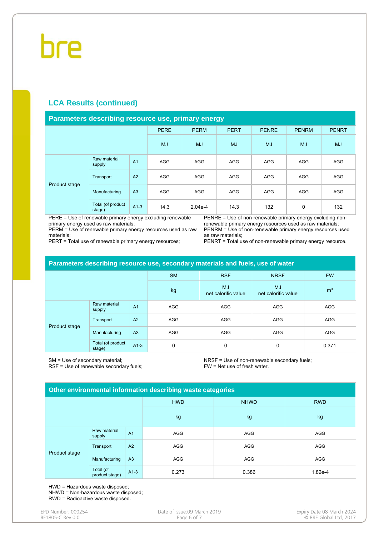#### **LCA Results (continued)**

#### **Parameters describing resource use, primary energy**

|               |                             |                | <b>PERE</b> | <b>PERM</b> | <b>PERT</b> | <b>PENRE</b> | <b>PENRM</b> | <b>PENRT</b> |
|---------------|-----------------------------|----------------|-------------|-------------|-------------|--------------|--------------|--------------|
|               |                             |                | MJ          | <b>MJ</b>   | <b>MJ</b>   | <b>MJ</b>    | <b>MJ</b>    | <b>MJ</b>    |
| Product stage | Raw material<br>supply      | A <sub>1</sub> | <b>AGG</b>  | AGG         | <b>AGG</b>  | <b>AGG</b>   | <b>AGG</b>   | AGG          |
|               | Transport                   | A2             | <b>AGG</b>  | AGG         | <b>AGG</b>  | <b>AGG</b>   | <b>AGG</b>   | <b>AGG</b>   |
|               | Manufacturing               | A3             | <b>AGG</b>  | AGG         | AGG         | <b>AGG</b>   | <b>AGG</b>   | AGG          |
|               | Total (of product<br>stage) | $A1-3$         | 14.3        | $2.04e-4$   | 14.3        | 132          | 0            | 132          |

PERE = Use of renewable primary energy excluding renewable primary energy used as raw materials;

PERM = Use of renewable primary energy resources used as raw materials;

PERT = Total use of renewable primary energy resources;

PENRE = Use of non-renewable primary energy excluding nonrenewable primary energy resources used as raw materials; PENRM = Use of non-renewable primary energy resources used as raw materials;

PENRT = Total use of non-renewable primary energy resource.

| Parameters describing resource use, secondary materials and fuels, use of water |                             |                |            |                                  |                           |                |  |  |  |
|---------------------------------------------------------------------------------|-----------------------------|----------------|------------|----------------------------------|---------------------------|----------------|--|--|--|
|                                                                                 |                             |                | <b>SM</b>  | <b>RSF</b>                       | <b>NRSF</b>               | <b>FW</b>      |  |  |  |
|                                                                                 |                             |                | kg         | <b>MJ</b><br>net calorific value | MJ<br>net calorific value | m <sup>3</sup> |  |  |  |
| Product stage                                                                   | Raw material<br>supply      | A <sub>1</sub> | AGG        | <b>AGG</b>                       | <b>AGG</b>                | <b>AGG</b>     |  |  |  |
|                                                                                 | Transport                   | A2             | AGG        | <b>AGG</b>                       | <b>AGG</b>                | <b>AGG</b>     |  |  |  |
|                                                                                 | Manufacturing               | A <sub>3</sub> | <b>AGG</b> | <b>AGG</b>                       | <b>AGG</b>                | <b>AGG</b>     |  |  |  |
|                                                                                 | Total (of product<br>stage) | $A1-3$         | $\Omega$   | 0                                | 0                         | 0.371          |  |  |  |

SM = Use of secondary material; RSF = Use of renewable secondary fuels; NRSF = Use of non-renewable secondary fuels; FW = Net use of fresh water.

#### **Other environmental information describing waste categories**

|               |                             |                | <b>HWD</b> | <b>NHWD</b> | <b>RWD</b> |  |  |
|---------------|-----------------------------|----------------|------------|-------------|------------|--|--|
|               |                             |                | kg         | kg          | kg         |  |  |
| Product stage | Raw material<br>supply      | A <sub>1</sub> | AGG        | AGG         | AGG        |  |  |
|               | Transport                   | A2             | AGG        | AGG         | AGG        |  |  |
|               | Manufacturing               | A3             | AGG        | AGG         | AGG        |  |  |
|               | Total (of<br>product stage) | $A1-3$         | 0.273      | 0.386       | 1.82e-4    |  |  |

HWD = Hazardous waste disposed; NHWD = Non-hazardous waste disposed; RWD = Radioactive waste disposed.